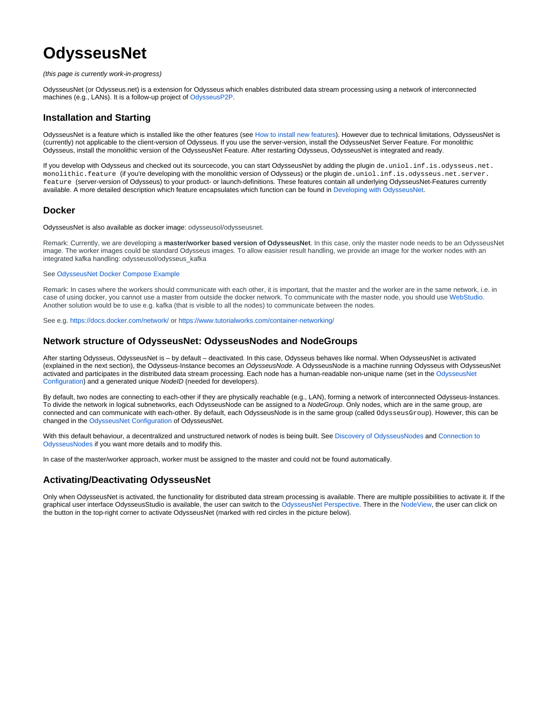# **OdysseusNet**

#### (this page is currently work-in-progress)

OdysseusNet (or Odysseus.net) is a extension for Odysseus which enables distributed data stream processing using a network of interconnected machines (e.g., LANs). It is a follow-up project of [OdysseusP2P.](https://wiki.odysseus.informatik.uni-oldenburg.de/display/ODYSSEUS/Peer+Feature)

## **Installation and Starting**

OdysseusNet is a feature which is installed like the other features (see [How to install new features](https://wiki.odysseus.informatik.uni-oldenburg.de/display/ODYSSEUS/How+to+install+new+features)). However due to technical limitations, OdysseusNet is (currently) not applicable to the client-version of Odysseus. If you use the server-version, install the OdysseusNet Server Feature. For monolithic Odysseus, install the monolithic version of the OdysseusNet Feature. After restarting Odysseus, OdysseusNet is integrated and ready.

If you develop with Odysseus and checked out its sourcecode, you can start OdysseusNet by adding the plugin de.uniol.inf.is.odysseus.net. monolithic.feature (if you're developing with the monolithic version of Odysseus) or the plugin de.uniol.inf.is.odysseus.net.server. feature (server-version of Odysseus) to your product- or launch-definitions. These features contain all underlying OdysseusNet-Features currently available. A more detailed description which feature encapsulates which function can be found in [Developing with OdysseusNet.](https://wiki.odysseus.informatik.uni-oldenburg.de/display/ODYSSEUS/Developing+with+OdysseusNet)

## **Docker**

OdysseusNet is also available as docker image: odysseusol/odysseusnet.

Remark: Currently, we are developing a **master/worker based version of OdysseusNet**. In this case, only the master node needs to be an OdysseusNet image. The worker images could be standard Odysseus images. To allow easisier result handling, we provide an image for the worker nodes with an integrated kafka handling: odysseusol/odysseus\_kafka

#### See [OdysseusNet Docker Compose Example](https://wiki.odysseus.informatik.uni-oldenburg.de/display/ODYSSEUS/OdysseusNet+Docker+Compose+Example)

Remark: In cases where the workers should communicate with each other, it is important, that the master and the worker are in the same network, i.e. in case of using docker, you cannot use a master from outside the docker network. To communicate with the master node, you should use [WebStudio.](https://wiki.odysseus.informatik.uni-oldenburg.de/display/ODYSSEUS/WebStudio) Another solution would be to use e.g. kafka (that is visible to all the nodes) to communicate between the nodes.

See e.g.<https://docs.docker.com/network/>or <https://www.tutorialworks.com/container-networking/>

## **Network structure of OdysseusNet: OdysseusNodes and NodeGroups**

After starting Odysseus, OdysseusNet is – by default – deactivated. In this case, Odysseus behaves like normal. When OdysseusNet is activated (explained in the next section), the Odysseus-Instance becomes an OdysseusNode. A OdysseusNode is a machine running Odysseus with OdysseusNet activated and participates in the distributed data stream processing. Each node has a human-readable non-unique name (set in the [OdysseusNet](https://wiki.odysseus.informatik.uni-oldenburg.de/display/ODYSSEUS/OdysseusNet+Configuration)  [Configuration\)](https://wiki.odysseus.informatik.uni-oldenburg.de/display/ODYSSEUS/OdysseusNet+Configuration) and a generated unique NodeID (needed for developers).

By default, two nodes are connecting to each-other if they are physically reachable (e.g., LAN), forming a network of interconnected Odysseus-Instances. To divide the network in logical subnetworks, each OdysseusNode can be assigned to a NodeGroup. Only nodes, which are in the same group, are connected and can communicate with each-other. By default, each OdysseusNode is in the same group (called OdysseusGroup). However, this can be changed in the [OdysseusNet Configuration](https://wiki.odysseus.informatik.uni-oldenburg.de/display/ODYSSEUS/OdysseusNet+Configuration) of OdysseusNet.

With this default behaviour, a decentralized and unstructured network of nodes is being built. See [Discovery of OdysseusNodes](https://wiki.odysseus.informatik.uni-oldenburg.de/display/ODYSSEUS/Discovery+of+OdysseusNodes) and Connection to [OdysseusNodes](https://wiki.odysseus.informatik.uni-oldenburg.de/display/ODYSSEUS/Connection+to+OdysseusNodes) if you want more details and to modify this.

In case of the master/worker approach, worker must be assigned to the master and could not be found automatically.

# **Activating/Deactivating OdysseusNet**

Only when OdysseusNet is activated, the functionality for distributed data stream processing is available. There are multiple possibilities to activate it. If the graphical user interface OdysseusStudio is available, the user can switch to the [OdysseusNet Perspective](https://wiki.odysseus.informatik.uni-oldenburg.de/display/ODYSSEUS/OdysseusNet+Perspective). There in the [NodeView,](https://wiki.odysseus.informatik.uni-oldenburg.de/display/ODYSSEUS/NodeView) the user can click on the button in the top-right corner to activate OdysseusNet (marked with red circles in the picture below).